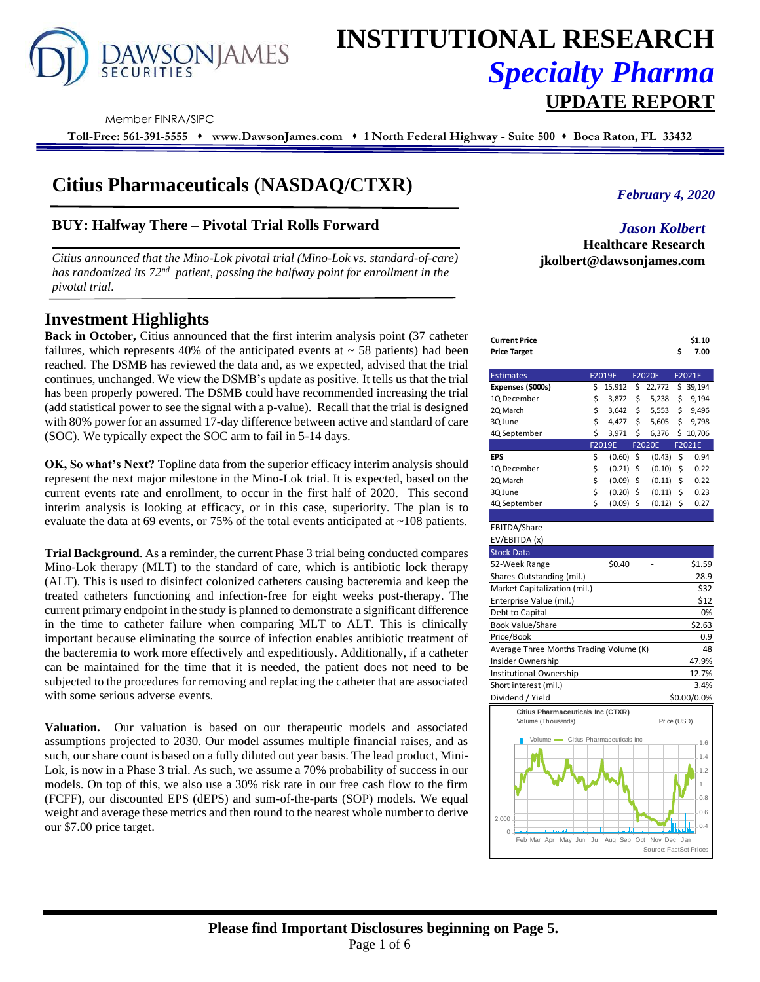

# **INSTITUTIONAL RESEARCH** *Specialty Pharma*  **UPDATE REPORT**

Member FINRA/SIPC

**Toll-Free: 561-391-5555** ⬧ **www.DawsonJames.com** ⬧ **1 North Federal Highway - Suite 500** ⬧ **Boca Raton, FL 33432**

# **Citius Pharmaceuticals (NASDAQ/CTXR)**

# **BUY: Halfway There – Pivotal Trial Rolls Forward**

*Citius announced that the Mino-Lok pivotal trial (Mino-Lok vs. standard-of-care) has randomized its 72nd patient, passing the halfway point for enrollment in the pivotal trial.*

# **Investment Highlights**

**Back in October,** Citius announced that the first interim analysis point (37 catheter failures, which represents 40% of the anticipated events at  $\sim$  58 patients) had been reached. The DSMB has reviewed the data and, as we expected, advised that the trial continues, unchanged. We view the DSMB's update as positive. It tells us that the trial has been properly powered. The DSMB could have recommended increasing the trial (add statistical power to see the signal with a p-value). Recall that the trial is designed with 80% power for an assumed 17-day difference between active and standard of care (SOC). We typically expect the SOC arm to fail in 5-14 days.

**OK, So what's Next?** Topline data from the superior efficacy interim analysis should represent the next major milestone in the Mino-Lok trial. It is expected, based on the current events rate and enrollment, to occur in the first half of 2020. This second interim analysis is looking at efficacy, or in this case, superiority. The plan is to evaluate the data at 69 events, or 75% of the total events anticipated at ~108 patients.

**Trial Background**. As a reminder, the current Phase 3 trial being conducted compares Mino-Lok therapy (MLT) to the standard of care, which is antibiotic lock therapy (ALT). This is used to disinfect colonized catheters causing bacteremia and keep the treated catheters functioning and infection-free for eight weeks post-therapy. The current primary endpoint in the study is planned to demonstrate a significant difference in the time to catheter failure when comparing MLT to ALT. This is clinically important because eliminating the source of infection enables antibiotic treatment of the bacteremia to work more effectively and expeditiously. Additionally, if a catheter can be maintained for the time that it is needed, the patient does not need to be subjected to the procedures for removing and replacing the catheter that are associated with some serious adverse events.

**Valuation.** Our valuation is based on our therapeutic models and associated assumptions projected to 2030. Our model assumes multiple financial raises, and as such, our share count is based on a fully diluted out year basis. The lead product, Mini-Lok, is now in a Phase 3 trial. As such, we assume a 70% probability of success in our models. On top of this, we also use a 30% risk rate in our free cash flow to the firm (FCFF), our discounted EPS (dEPS) and sum-of-the-parts (SOP) models. We equal weight and average these metrics and then round to the nearest whole number to derive our \$7.00 price target.

*February 4, 2020*

*Jason Kolbert* **Healthcare Research jkolbert@dawsonjames.com**

| Current Price | \$1.10  |
|---------------|---------|
| Price Target  | 5, 7.00 |

| <b>Estimates</b>                   |    | F2019E |    | <b>F2020E</b> |    | F2021E |
|------------------------------------|----|--------|----|---------------|----|--------|
| Expenses (\$000s)                  | \$ | 15.912 | \$ | 22,772        | \$ | 39,194 |
| 10 December                        | \$ | 3,872  | \$ | 5,238         | \$ | 9.194  |
| 20 March                           | \$ | 3,642  | \$ | 5,553         | \$ | 9.496  |
| 3Q June                            | \$ | 4.427  | \$ | 5,605         | \$ | 9.798  |
| 4Q September                       | \$ | 3,971  | \$ | 6,376         | Ś  | 10,706 |
|                                    |    | F2019E |    | <b>F2020E</b> |    | F2021E |
| <b>EPS</b>                         | Ś  | (0.60) | Ś  | (0.43)        | Ś  | 0.94   |
|                                    |    |        |    |               |    |        |
|                                    | Ś  | (0.21) | Ś  | (0.10)        | Ś  | 0.22   |
|                                    | \$ | (0.09) | Ś  | (0.11)        | Ś  | 0.22   |
| 10 December<br>20 March<br>30 June | \$ | (0.20) | Ś  | (0.11)        | Ś  | 0.23   |

| EBITDA/Share                            |             |
|-----------------------------------------|-------------|
| EV/EBITDA (x)                           |             |
| <b>Stock Data</b>                       |             |
| \$0.40<br>52-Week Range                 | \$1.59      |
| Shares Outstanding (mil.)               | 28.9        |
| Market Capitalization (mil.)            | \$32        |
| Enterprise Value (mil.)                 | \$12        |
| Debt to Capital                         | 0%          |
| Book Value/Share                        | \$2.63      |
| Price/Book                              | 0.9         |
| Average Three Months Trading Volume (K) | 48          |
| Insider Ownership                       | 47.9%       |
| Institutional Ownership                 | 12.7%       |
| Short interest (mil.)                   | 3.4%        |
| Dividend / Yield                        | \$0.00/0.0% |
| Citius Pharmaceuticals Inc (CTXR)       |             |
| Volume (Thousands)                      | Price (USD) |
| Volume Citius Pharmaceuticals Inc       | 1.6         |
|                                         | 1.4         |
|                                         |             |
|                                         | 1.2         |
|                                         | 1           |
|                                         | 0.8         |

Feb Mar Apr May Jun Jul Aug Sep Oct Nov Dec

 $\Omega$ 2,000 0.4 0.6

Source: FactSet P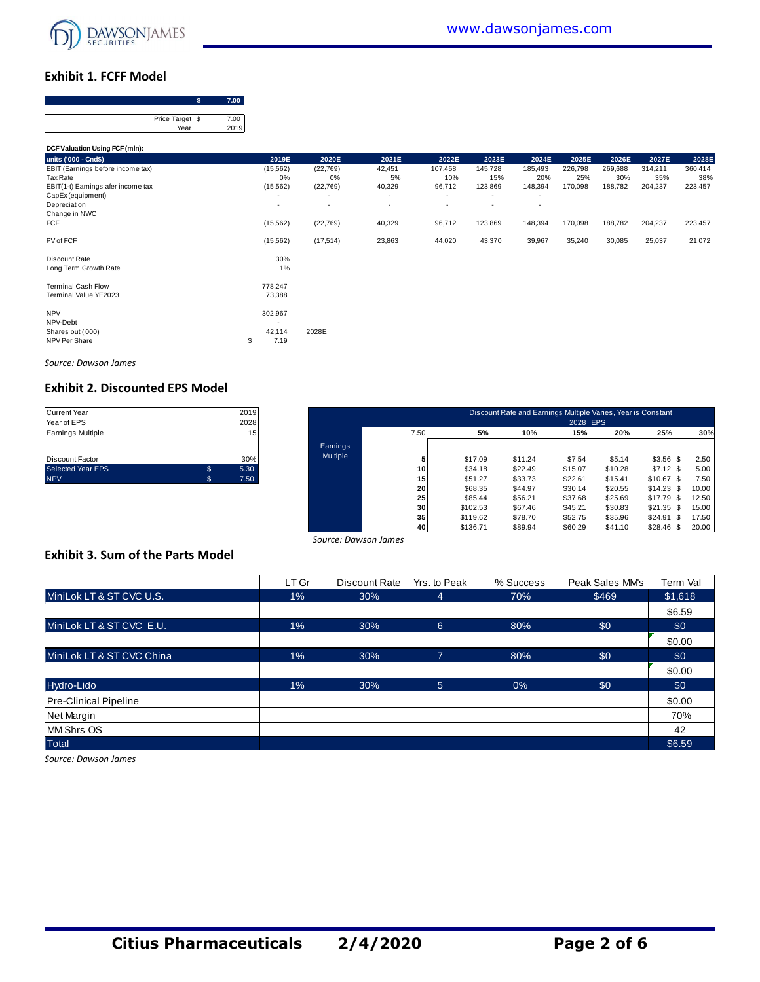

## **Exhibit 1. FCFF Model**

| Price Target \$ |             |
|-----------------|-------------|
| Year            | 7.00<br>201 |

|                                                                                     | Price Target \$<br>Year | 7.00<br>2019 |                              |                              |                        |                          |                               |                           |                           |                           |                           |                           |
|-------------------------------------------------------------------------------------|-------------------------|--------------|------------------------------|------------------------------|------------------------|--------------------------|-------------------------------|---------------------------|---------------------------|---------------------------|---------------------------|---------------------------|
| DCF Valuation Using FCF (mln):                                                      |                         |              |                              |                              |                        |                          |                               |                           |                           |                           |                           |                           |
| units ('000 - Cnd\$)                                                                |                         |              | 2019E                        | 2020E                        | 2021E                  | 2022E                    | 2023E                         | 2024E                     | 2025E                     | 2026E                     | 2027E                     | 2028E                     |
| EBIT (Earnings before income tax)<br>Tax Rate<br>EBIT(1-t) Earnings afer income tax |                         |              | (15, 562)<br>0%<br>(15, 562) | (22, 769)<br>0%<br>(22, 769) | 42,451<br>5%<br>40,329 | 107,458<br>10%<br>96,712 | 145,728<br>15%<br>123,869     | 185,493<br>20%<br>148,394 | 226,798<br>25%<br>170,098 | 269,688<br>30%<br>188,782 | 314,211<br>35%<br>204,237 | 360,414<br>38%<br>223,457 |
| CapEx (equipment)<br>Depreciation<br>Change in NWC                                  |                         |              | $\overline{\phantom{a}}$     | $\overline{a}$<br>٠          | ٠<br>٠                 | $\overline{\phantom{a}}$ | ٠<br>$\overline{\phantom{a}}$ | $\overline{\phantom{a}}$  |                           |                           |                           |                           |
| <b>FCF</b>                                                                          |                         |              | (15, 562)                    | (22, 769)                    | 40,329                 | 96,712                   | 123,869                       | 148,394                   | 170,098                   | 188,782                   | 204,237                   | 223,457                   |
| PV of FCF                                                                           |                         |              | (15, 562)                    | (17, 514)                    | 23,863                 | 44,020                   | 43,370                        | 39,967                    | 35,240                    | 30,085                    | 25,037                    | 21,072                    |
| Discount Rate<br>Long Term Growth Rate                                              |                         |              | 30%<br>1%                    |                              |                        |                          |                               |                           |                           |                           |                           |                           |
| <b>Terminal Cash Flow</b><br>Terminal Value YE2023                                  |                         |              | 778,247<br>73,388            |                              |                        |                          |                               |                           |                           |                           |                           |                           |
| <b>NPV</b><br>NPV-Debt<br>Shares out ('000)<br>NPV Per Share                        |                         | \$           | 302,967<br>42,114<br>7.19    | 2028E                        |                        |                          |                               |                           |                           |                           |                           |                           |

*Source: Dawson James*

## **Exhibit 2. Discounted EPS Model**

| <b>Current Year</b>      | 2019       |
|--------------------------|------------|
| Year of EPS              | 2028       |
| <b>Earnings Multiple</b> | 15         |
| <b>Discount Factor</b>   | 30%        |
| <b>Selected Year EPS</b> | \$<br>5.30 |
| <b>NPV</b>               | \$<br>7.50 |

| Current Year<br>Year of EPS |     | 2019<br>2028    |          |      |          | Discount Rate and Earnings Multiple Varies, Year is Constant | 2028 EPS |         |                 |       |
|-----------------------------|-----|-----------------|----------|------|----------|--------------------------------------------------------------|----------|---------|-----------------|-------|
| Earnings Multiple           |     | 15 <sub>1</sub> |          | 7.50 | 5%       | 10%                                                          | 15%      | 20%     | 25%             | 30%   |
|                             |     |                 | Earnings |      |          |                                                              |          |         |                 |       |
| Discount Factor             |     | 30%             | Multiple |      | \$17.09  | \$11.24                                                      | \$7.54   | \$5.14  | $$3.56$ \$      | 2.50  |
| Selected Year EPS           | \$  | 5.30            |          | 10   | \$34.18  | \$22.49                                                      | \$15.07  | \$10.28 | $$7.12$ \$      | 5.00  |
| <b>NPV</b>                  | \$. | 7.50            |          | 15   | \$51.27  | \$33.73                                                      | \$22.61  | \$15.41 | $$10.67$ \$     | 7.50  |
|                             |     |                 |          | 20   | \$68.35  | \$44.97                                                      | \$30.14  | \$20.55 | $$14.23$ \$     | 10.00 |
|                             |     |                 |          | 25   | \$85.44  | \$56.21                                                      | \$37.68  | \$25.69 | $$17.79$ \$     | 12.50 |
|                             |     |                 |          | 30   | \$102.53 | \$67.46                                                      | \$45.21  | \$30.83 | $$21.35$ \$     | 15.00 |
|                             |     |                 |          | 35   | \$119.62 | \$78.70                                                      | \$52.75  | \$35.96 | \$24.91<br>- \$ | 17.50 |
|                             |     |                 |          | 40   | \$136.71 | \$89.94                                                      | \$60.29  | \$41.10 | $$28.46$ \$     | 20.00 |

# **Exhibit 3. Sum of the Parts Model**

|                                          |       | Source: Dawson James |                |           |                 |           |
|------------------------------------------|-------|----------------------|----------------|-----------|-----------------|-----------|
| <b>Exhibit 3. Sum of the Parts Model</b> |       |                      |                |           |                 |           |
|                                          | LT Gr | Discount Rate        | Yrs. to Peak   | % Success | Peak Sales MM's | Term Val  |
| MiniLok LT & ST CVC U.S.                 | $1\%$ | 30%                  | 4              | 70%       | \$469           | \$1,618   |
|                                          |       |                      |                |           |                 | \$6.59    |
| MiniLok LT & ST CVC E.U.                 | $1\%$ | 30%                  | 6              | 80%       | \$0             | \$0       |
|                                          |       |                      |                |           |                 | \$0.00    |
| MiniLok LT & ST CVC China                | $1\%$ | 30%                  | 7              | 80%       | \$0             | <b>SO</b> |
|                                          |       |                      |                |           |                 | \$0.00    |
| Hydro-Lido                               | $1\%$ | 30%                  | 5 <sup>5</sup> | 0%        | \$0             | \$0       |
| <b>Pre-Clinical Pipeline</b>             |       |                      |                |           |                 | \$0.00    |
| Net Margin                               |       |                      |                |           |                 | 70%       |
| <b>MM Shrs OS</b>                        |       |                      |                |           |                 | 42        |
| <b>Total</b>                             |       |                      |                |           |                 | \$6.59    |

*Source: Dawson James*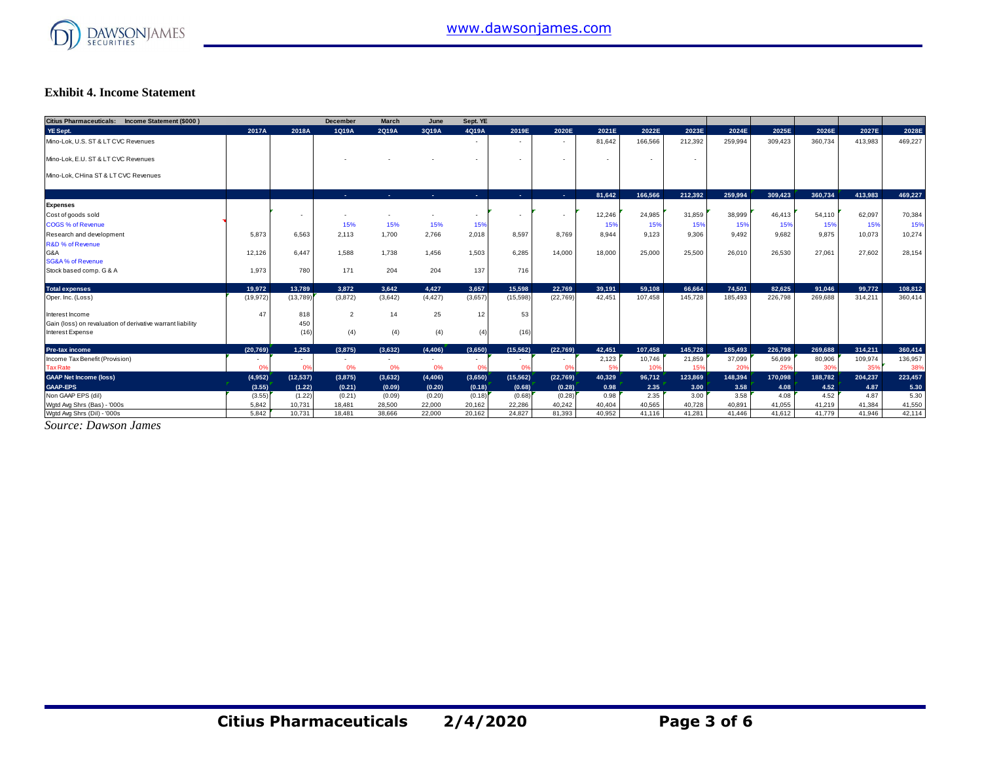

#### **Exhibit 4. Income Statement**

| Citius Pharmaceuticals: Income Statement (\$000)           |                |           | December       | <b>March</b>   | June           | Sept. YE                 |                          |                          |                          |         |                          |         |         |         |         |         |
|------------------------------------------------------------|----------------|-----------|----------------|----------------|----------------|--------------------------|--------------------------|--------------------------|--------------------------|---------|--------------------------|---------|---------|---------|---------|---------|
| YE Sept.                                                   | 2017A          | 2018A     | 1Q19A          | 2Q19A          | 3Q19A          | 4Q19A                    | 2019E                    | 2020E                    | 2021E                    | 2022E   | 2023E                    | 2024E   | 2025E   | 2026E   | 2027E   | 2028E   |
| Mino-Lok, U.S. ST & LT CVC Revenues                        |                |           |                |                |                | $\overline{\phantom{a}}$ | $\sim$                   | $\overline{\phantom{a}}$ | 81.642                   | 166.566 | 212.392                  | 259.994 | 309.423 | 360.734 | 413.983 | 469,227 |
| Mino-Lok, E.U. ST & LT CVC Revenues                        |                |           |                |                |                | $\overline{\phantom{a}}$ | $\overline{\phantom{a}}$ | $\overline{\phantom{a}}$ | $\overline{\phantom{a}}$ | $\sim$  | $\overline{\phantom{a}}$ |         |         |         |         |         |
| Mino-Lok, CHina ST & LT CVC Revenues                       |                |           |                |                |                |                          |                          |                          |                          |         |                          |         |         |         |         |         |
|                                                            |                |           | <b>Section</b> | <b>Section</b> | <b>Section</b> | <b>Section</b>           | <b>Section</b>           | <b>Service</b>           | 81.642                   | 166,566 | 212.392                  | 259.994 | 309.423 | 360.734 | 413.983 | 469.227 |
| <b>Expenses</b>                                            |                |           |                |                |                |                          |                          |                          |                          |         |                          |         |         |         |         |         |
| Cost of goods sold                                         |                |           |                |                |                | $\overline{\phantom{a}}$ |                          | $\overline{\phantom{a}}$ | 12,246                   | 24,985  | 31,859                   | 38,999  | 46,413  | 54.110  | 62,097  | 70,384  |
| <b>COGS % of Revenue</b>                                   |                |           | 15%            | 15%            | 15%            | 15%                      |                          |                          | 15%                      | 15%     | 15%                      | 15%     | 15%     | 15%     | 15%     | 15%     |
| Research and development                                   | 5.873          | 6.563     | 2.113          | 1.700          | 2,766          | 2,018                    | 8,597                    | 8.769                    | 8.944                    | 9.123   | 9.306                    | 9.492   | 9.682   | 9.875   | 10.073  | 10,274  |
| <b>R&amp;D % of Revenue</b>                                |                |           |                |                |                |                          |                          |                          |                          |         |                          |         |         |         |         |         |
| G&A                                                        | 12.126         | 6.447     | 1.588          | 1.738          | 1.456          | 1.503                    | 6.285                    | 14.000                   | 18,000                   | 25,000  | 25,500                   | 26.010  | 26.530  | 27.061  | 27.602  | 28,154  |
| <b>SG&amp;A % of Revenue</b>                               |                |           |                |                |                |                          |                          |                          |                          |         |                          |         |         |         |         |         |
| Stock based comp. G & A                                    | 1.973          | 780       | 171            | 204            | 204            | 137                      | 716                      |                          |                          |         |                          |         |         |         |         |         |
| <b>Total expenses</b>                                      | 19.972         | 13.789    | 3.872          | 3.642          | 4.427          | 3.657                    | 15.598                   | 22.769                   | 39.191                   | 59.108  | 66.664                   | 74.501  | 82.625  | 91.046  | 99.772  | 108,812 |
| Oper. Inc. (Loss)                                          | (19, 972)      | (13,789)  | (3,872)        | (3,642)        | (4, 427)       | (3,657)                  | (15, 598)                | (22, 769)                | 42.451                   | 107.458 | 145.728                  | 185.493 | 226,798 | 269,688 | 314,211 | 360,414 |
| Interest Income                                            | 47             | 818       | $\overline{2}$ | 14             | 25             | 12                       | 53                       |                          |                          |         |                          |         |         |         |         |         |
| Gain (loss) on revaluation of derivative warrant liability |                | 450       |                |                |                |                          |                          |                          |                          |         |                          |         |         |         |         |         |
| Interest Expense                                           |                | (16)      | (4)            | (4)            | (4)            | (4)                      | (16)                     |                          |                          |         |                          |         |         |         |         |         |
| <b>Pre-tax income</b>                                      | (20.769)       | 1.253     | (3,875)        | (3.632)        | (4, 406)       | (3,650)                  | (15, 562)                | (22.769)                 | 42.451                   | 107.458 | 145.728                  | 185.493 | 226.798 | 269.688 | 314.211 | 360.414 |
| Income Tax Benefit (Provision)                             |                | $\sim$    | $\sim$         | $\sim$         | ٠              |                          | $\sim$                   | $\overline{\phantom{a}}$ | 2,123                    | 10,746  | 21,859                   | 37,099  | 56,699  | 80,906  | 109,974 | 136,957 |
| <b>Tax Rate</b>                                            | 0 <sup>9</sup> | 0%        | 0%             | 0%             | 0%             |                          | 0 <sup>9</sup>           | 0 <sup>9</sup>           | 5%                       | 10%     | 15%                      | 20%     | 25%     | 30%     | 35%     | 38%     |
| <b>GAAP Net Income (loss)</b>                              | (4,952)        | (12, 537) | (3,875)        | (3,632)        | (4, 406)       | (3,650)                  | (15, 562)                | (22,769)                 | 40,329                   | 96,712  | 123,869                  | 148,394 | 170,098 | 188,782 | 204,237 | 223,457 |
| <b>GAAP-EPS</b>                                            | (3.55)         | (1.22)    | (0.21)         | (0.09)         | (0.20)         | (0.18)                   | (0.68)                   | (0.28)                   | 0.98                     | 2.35    | 3.00                     | 3.58    | 4.08    | 4.52    | 4.87    | 5.30    |
| Non GAAP EPS (dil)                                         | (3.55)         | (1.22)    | (0.21)         | (0.09)         | (0.20)         | (0.18)                   | (0.68)                   | (0.28)                   | 0.98                     | 2.35    | 3.00                     | 3.58    | 4.08    | 4.52    | 4.87    | 5.30    |
| Wgtd Avg Shrs (Bas) - '000s                                | 5.842          | 10.731    | 18,481         | 28,500         | 22,000         | 20,162                   | 22.286                   | 40,242                   | 40.404                   | 40.565  | 40.728                   | 40.891  | 41,055  | 41.219  | 41,384  | 41,550  |
| Wgtd Avg Shrs (Dil) - '000s                                | 5,842          | 10,731    | 18,481         | 38,666         | 22,000         | 20,162                   | 24,827                   | 81,393                   | 40,952                   | 41.116  | 41,281                   | 41.446  | 41,612  | 41.779  | 41.946  | 42,114  |

*Source: Dawson James*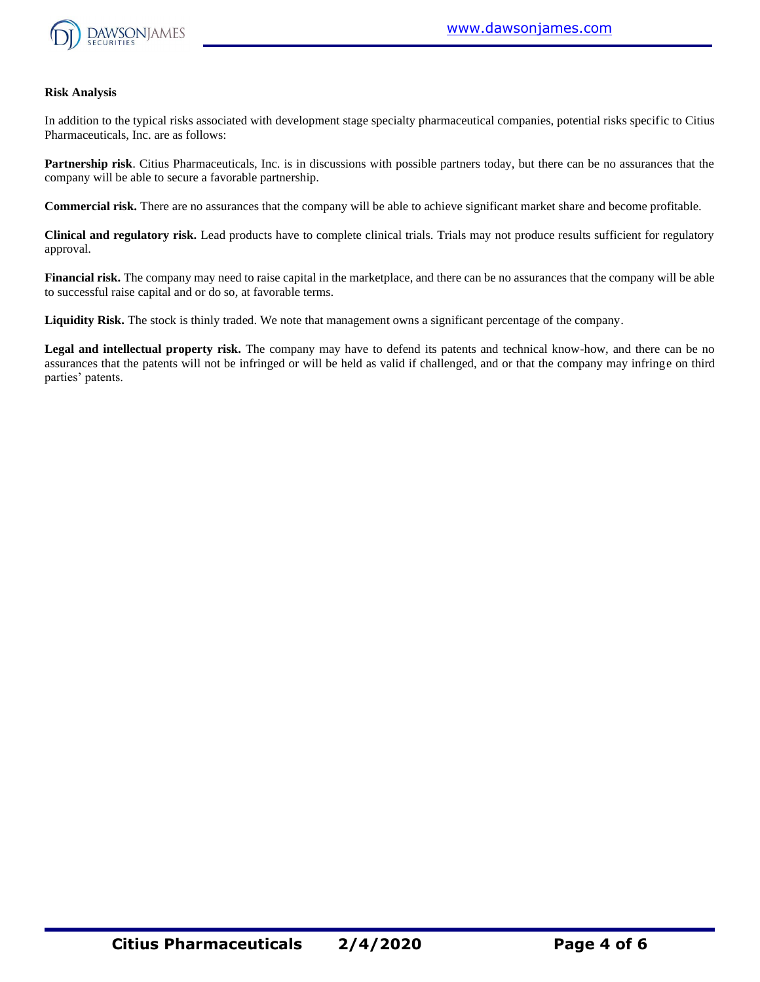

#### **Risk Analysis**

In addition to the typical risks associated with development stage specialty pharmaceutical companies, potential risks specific to Citius Pharmaceuticals, Inc. are as follows:

**Partnership risk**. Citius Pharmaceuticals, Inc. is in discussions with possible partners today, but there can be no assurances that the company will be able to secure a favorable partnership.

**Commercial risk.** There are no assurances that the company will be able to achieve significant market share and become profitable.

**Clinical and regulatory risk.** Lead products have to complete clinical trials. Trials may not produce results sufficient for regulatory approval.

**Financial risk.** The company may need to raise capital in the marketplace, and there can be no assurances that the company will be able to successful raise capital and or do so, at favorable terms.

**Liquidity Risk.** The stock is thinly traded. We note that management owns a significant percentage of the company.

**Legal and intellectual property risk.** The company may have to defend its patents and technical know-how, and there can be no assurances that the patents will not be infringed or will be held as valid if challenged, and or that the company may infringe on third parties' patents.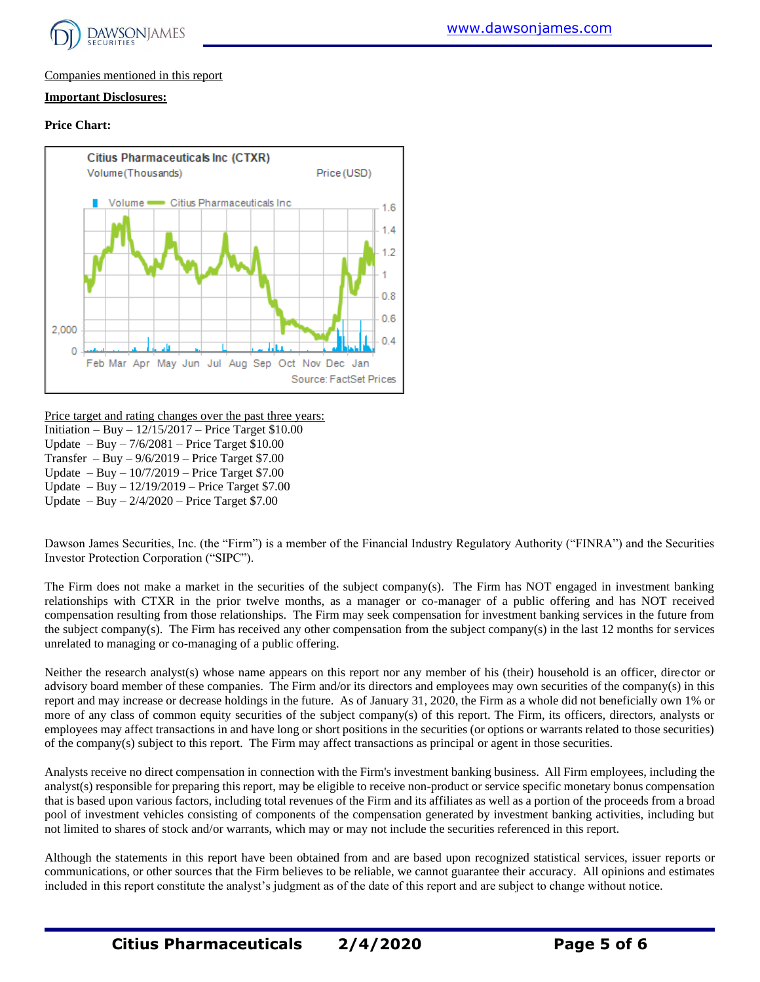

#### Companies mentioned in this report

#### **Important Disclosures:**

#### **Price Chart:**



Price target and rating changes over the past three years:

Initiation – Buy – 12/15/2017 – Price Target \$10.00

Update – Buy – 7/6/2081 – Price Target \$10.00

Transfer – Buy –  $9/6/2019$  – Price Target \$7.00

Update – Buy – 10/7/2019 – Price Target \$7.00

Update – Buy – 12/19/2019 – Price Target \$7.00

Update – Buy – 2/4/2020 – Price Target \$7.00

Dawson James Securities, Inc. (the "Firm") is a member of the Financial Industry Regulatory Authority ("FINRA") and the Securities Investor Protection Corporation ("SIPC").

The Firm does not make a market in the securities of the subject company(s). The Firm has NOT engaged in investment banking relationships with CTXR in the prior twelve months, as a manager or co-manager of a public offering and has NOT received compensation resulting from those relationships. The Firm may seek compensation for investment banking services in the future from the subject company(s). The Firm has received any other compensation from the subject company(s) in the last 12 months for services unrelated to managing or co-managing of a public offering.

Neither the research analyst(s) whose name appears on this report nor any member of his (their) household is an officer, director or advisory board member of these companies. The Firm and/or its directors and employees may own securities of the company(s) in this report and may increase or decrease holdings in the future. As of January 31, 2020, the Firm as a whole did not beneficially own 1% or more of any class of common equity securities of the subject company(s) of this report. The Firm, its officers, directors, analysts or employees may affect transactions in and have long or short positions in the securities (or options or warrants related to those securities) of the company(s) subject to this report. The Firm may affect transactions as principal or agent in those securities.

Analysts receive no direct compensation in connection with the Firm's investment banking business. All Firm employees, including the analyst(s) responsible for preparing this report, may be eligible to receive non-product or service specific monetary bonus compensation that is based upon various factors, including total revenues of the Firm and its affiliates as well as a portion of the proceeds from a broad pool of investment vehicles consisting of components of the compensation generated by investment banking activities, including but not limited to shares of stock and/or warrants, which may or may not include the securities referenced in this report.

Although the statements in this report have been obtained from and are based upon recognized statistical services, issuer reports or communications, or other sources that the Firm believes to be reliable, we cannot guarantee their accuracy. All opinions and estimates included in this report constitute the analyst's judgment as of the date of this report and are subject to change without notice.